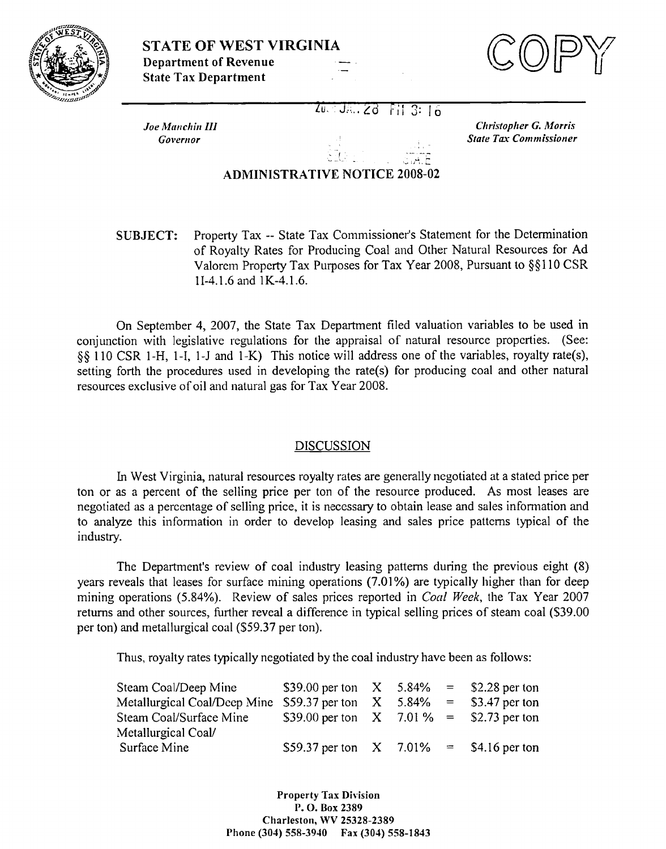



Joe Manchin III Governor

 $20 - 36 - 28 - 81 - 3:15$ 

**Christopher G. Morris State Tax Commissioner** 

## **ADMINISTRATIVE NOTICE 2008-02**

Property Tax -- State Tax Commissioner's Statement for the Determination **SUBJECT:** of Royalty Rates for Producing Coal and Other Natural Resources for Ad Valorem Property Tax Purposes for Tax Year 2008, Pursuant to §§110 CSR 1I-4.1.6 and 1K-4.1.6.

On September 4, 2007, the State Tax Department filed valuation variables to be used in conjunction with legislative regulations for the appraisal of natural resource properties. (See: §§ 110 CSR 1-H, 1-I, 1-J and 1-K) This notice will address one of the variables, royalty rate(s), setting forth the procedures used in developing the rate(s) for producing coal and other natural resources exclusive of oil and natural gas for Tax Year 2008.

## **DISCUSSION**

In West Virginia, natural resources royalty rates are generally negotiated at a stated price per ton or as a percent of the selling price per ton of the resource produced. As most leases are negotiated as a percentage of selling price, it is necessary to obtain lease and sales information and to analyze this information in order to develop leasing and sales price patterns typical of the industry.

The Department's review of coal industry leasing patterns during the previous eight (8) years reveals that leases for surface mining operations (7.01%) are typically higher than for deep mining operations (5.84%). Review of sales prices reported in *Coal Week*, the Tax Year 2007 returns and other sources, further reveal a difference in typical selling prices of steam coal (\$39.00) per ton) and metallurgical coal (\$59.37 per ton).

Thus, royalty rates typically negotiated by the coal industry have been as follows:

| Steam Coal/Deep Mine                                                    | \$39.00 per ton $X = 5.84\% = 2.28$ per ton  |  |  |
|-------------------------------------------------------------------------|----------------------------------------------|--|--|
| Metallurgical Coal/Deep Mine \$59.37 per ton $X$ 5.84% = \$3.47 per ton |                                              |  |  |
| Steam Coal/Surface Mine                                                 | \$39.00 per ton $X = 7.01\% = 52.73$ per ton |  |  |
| Metallurgical Coal/                                                     |                                              |  |  |
| Surface Mine                                                            | \$59.37 per ton $X = 7.01\% = 1.16$ per ton  |  |  |

**Property Tax Division** P.O. Box 2389 Charleston, WV 25328-2389 Phone (304) 558-3940 Fax (304) 558-1843